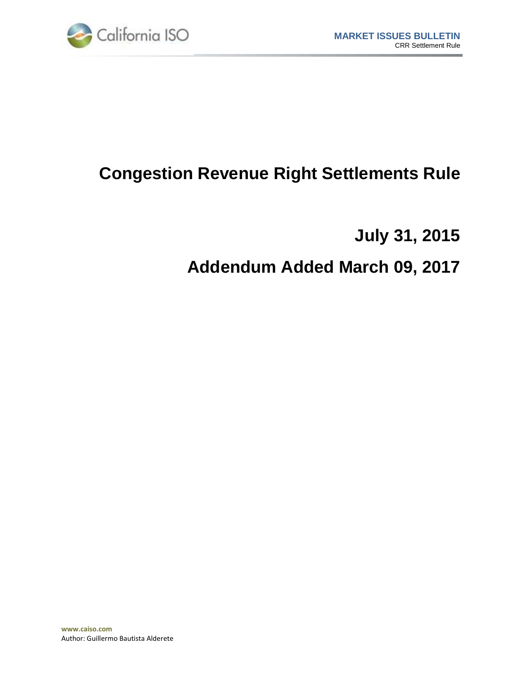

# **Congestion Revenue Right Settlements Rule**

**July 31, 2015**

# **Addendum Added March 09, 2017**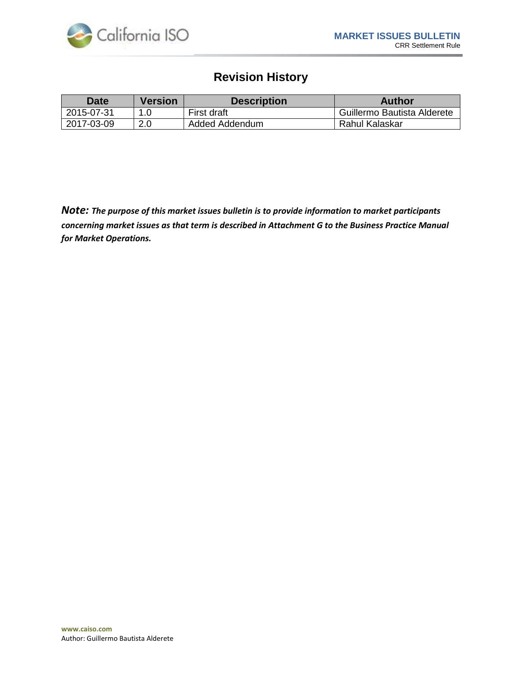

## **Revision History**

| <b>Date</b> | <b>Version</b> | <b>Description</b> | Author                      |
|-------------|----------------|--------------------|-----------------------------|
| 2015-07-31  |                | First draft        | Guillermo Bautista Alderete |
| 2017-03-09  | 2.0            | Added Addendum     | Rahul Kalaskar              |

*Note: The purpose of this market issues bulletin is to provide information to market participants concerning market issues as that term is described in Attachment G to the Business Practice Manual for Market Operations.*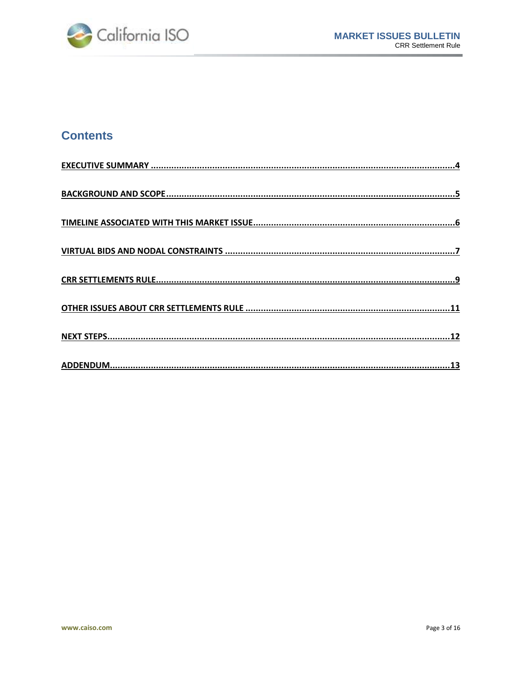۰



## **Contents**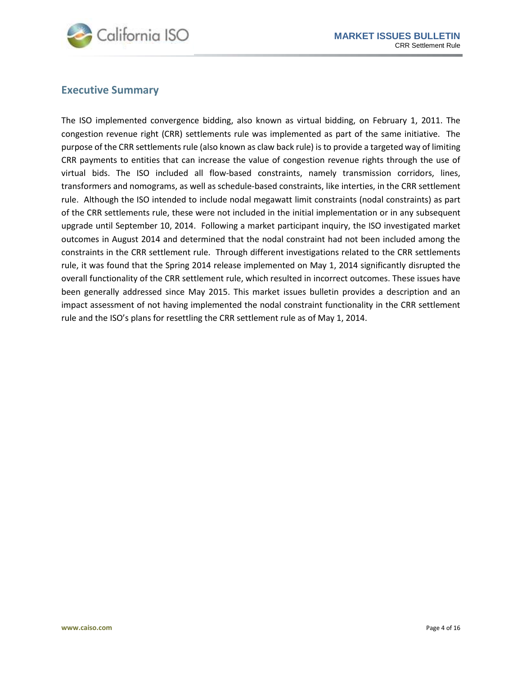

#### <span id="page-3-0"></span>**Executive Summary**

The ISO implemented convergence bidding, also known as virtual bidding, on February 1, 2011. The congestion revenue right (CRR) settlements rule was implemented as part of the same initiative. The purpose of the CRR settlements rule (also known as claw back rule) is to provide a targeted way of limiting CRR payments to entities that can increase the value of congestion revenue rights through the use of virtual bids. The ISO included all flow-based constraints, namely transmission corridors, lines, transformers and nomograms, as well as schedule-based constraints, like interties, in the CRR settlement rule. Although the ISO intended to include nodal megawatt limit constraints (nodal constraints) as part of the CRR settlements rule, these were not included in the initial implementation or in any subsequent upgrade until September 10, 2014. Following a market participant inquiry, the ISO investigated market outcomes in August 2014 and determined that the nodal constraint had not been included among the constraints in the CRR settlement rule. Through different investigations related to the CRR settlements rule, it was found that the Spring 2014 release implemented on May 1, 2014 significantly disrupted the overall functionality of the CRR settlement rule, which resulted in incorrect outcomes. These issues have been generally addressed since May 2015. This market issues bulletin provides a description and an impact assessment of not having implemented the nodal constraint functionality in the CRR settlement rule and the ISO's plans for resettling the CRR settlement rule as of May 1, 2014.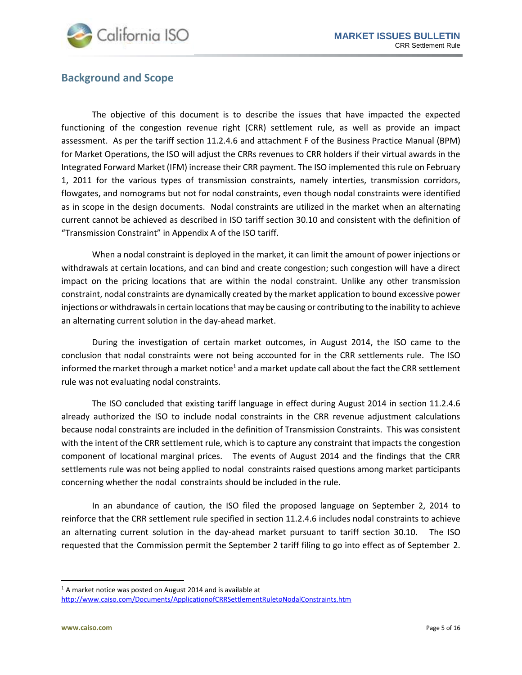

#### <span id="page-4-0"></span>**Background and Scope**

The objective of this document is to describe the issues that have impacted the expected functioning of the congestion revenue right (CRR) settlement rule, as well as provide an impact assessment. As per the tariff section 11.2.4.6 and attachment F of the Business Practice Manual (BPM) for Market Operations, the ISO will adjust the CRRs revenues to CRR holders if their virtual awards in the Integrated Forward Market (IFM) increase their CRR payment. The ISO implemented this rule on February 1, 2011 for the various types of transmission constraints, namely interties, transmission corridors, flowgates, and nomograms but not for nodal constraints, even though nodal constraints were identified as in scope in the design documents. Nodal constraints are utilized in the market when an alternating current cannot be achieved as described in ISO tariff section 30.10 and consistent with the definition of "Transmission Constraint" in Appendix A of the ISO tariff.

When a nodal constraint is deployed in the market, it can limit the amount of power injections or withdrawals at certain locations, and can bind and create congestion; such congestion will have a direct impact on the pricing locations that are within the nodal constraint. Unlike any other transmission constraint, nodal constraints are dynamically created by the market application to bound excessive power injections or withdrawals in certain locations that may be causing or contributing to the inability to achieve an alternating current solution in the day-ahead market.

During the investigation of certain market outcomes, in August 2014, the ISO came to the conclusion that nodal constraints were not being accounted for in the CRR settlements rule. The ISO informed the market through a market notice $1$  and a market update call about the fact the CRR settlement rule was not evaluating nodal constraints.

The ISO concluded that existing tariff language in effect during August 2014 in section 11.2.4.6 already authorized the ISO to include nodal constraints in the CRR revenue adjustment calculations because nodal constraints are included in the definition of Transmission Constraints. This was consistent with the intent of the CRR settlement rule, which is to capture any constraint that impacts the congestion component of locational marginal prices. The events of August 2014 and the findings that the CRR settlements rule was not being applied to nodal constraints raised questions among market participants concerning whether the nodal constraints should be included in the rule.

In an abundance of caution, the ISO filed the proposed language on September 2, 2014 to reinforce that the CRR settlement rule specified in section 11.2.4.6 includes nodal constraints to achieve an alternating current solution in the day-ahead market pursuant to tariff section 30.10. The ISO requested that the Commission permit the September 2 tariff filing to go into effect as of September 2.

 $\overline{a}$ 

 $1$  A market notice was posted on August 2014 and is available at <http://www.caiso.com/Documents/ApplicationofCRRSettlementRuletoNodalConstraints.htm>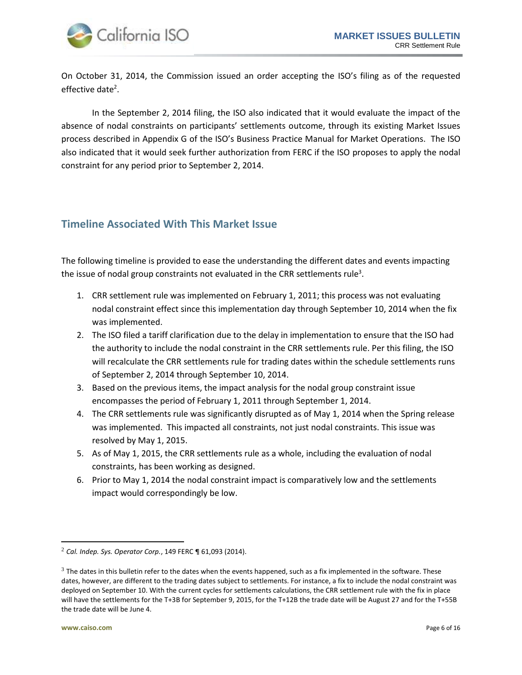

On October 31, 2014, the Commission issued an order accepting the ISO's filing as of the requested effective date<sup>2</sup>.

In the September 2, 2014 filing, the ISO also indicated that it would evaluate the impact of the absence of nodal constraints on participants' settlements outcome, through its existing Market Issues process described in Appendix G of the ISO's Business Practice Manual for Market Operations. The ISO also indicated that it would seek further authorization from FERC if the ISO proposes to apply the nodal constraint for any period prior to September 2, 2014.

### <span id="page-5-0"></span>**Timeline Associated With This Market Issue**

The following timeline is provided to ease the understanding the different dates and events impacting the issue of nodal group constraints not evaluated in the CRR settlements rule<sup>3</sup>.

- 1. CRR settlement rule was implemented on February 1, 2011; this process was not evaluating nodal constraint effect since this implementation day through September 10, 2014 when the fix was implemented.
- 2. The ISO filed a tariff clarification due to the delay in implementation to ensure that the ISO had the authority to include the nodal constraint in the CRR settlements rule. Per this filing, the ISO will recalculate the CRR settlements rule for trading dates within the schedule settlements runs of September 2, 2014 through September 10, 2014.
- 3. Based on the previous items, the impact analysis for the nodal group constraint issue encompasses the period of February 1, 2011 through September 1, 2014.
- 4. The CRR settlements rule was significantly disrupted as of May 1, 2014 when the Spring release was implemented. This impacted all constraints, not just nodal constraints. This issue was resolved by May 1, 2015.
- 5. As of May 1, 2015, the CRR settlements rule as a whole, including the evaluation of nodal constraints, has been working as designed.
- 6. Prior to May 1, 2014 the nodal constraint impact is comparatively low and the settlements impact would correspondingly be low.

 $\overline{\phantom{a}}$ 

<sup>2</sup> *Cal. Indep. Sys. Operator Corp.*, 149 FERC ¶ 61,093 (2014).

 $^3$  The dates in this bulletin refer to the dates when the events happened, such as a fix implemented in the software. These dates, however, are different to the trading dates subject to settlements. For instance, a fix to include the nodal constraint was deployed on September 10. With the current cycles for settlements calculations, the CRR settlement rule with the fix in place will have the settlements for the T+3B for September 9, 2015, for the T+12B the trade date will be August 27 and for the T+55B the trade date will be June 4.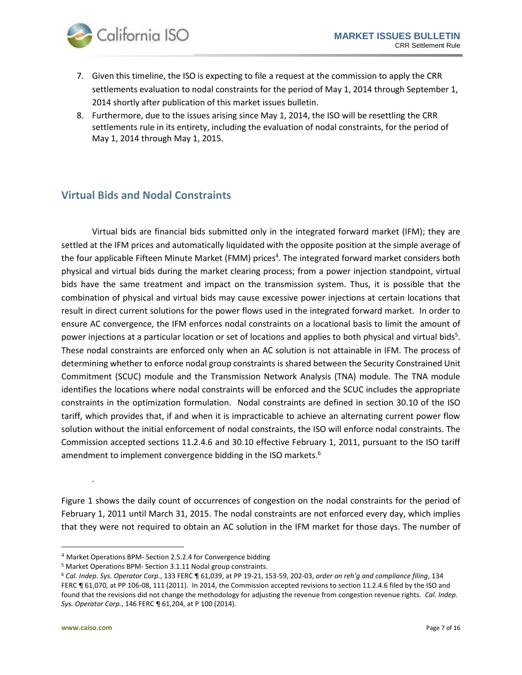

- 7. Given this timeline, the ISO is expecting to file a request at the commission to apply the CRR settlements evaluation to nodal constraints for the period of May 1, 2014 through September 1, 2014 shortly after publication of this market issues bulletin.
- 8. Furthermore, due to the issues arising since May 1, 2014, the ISO will be resettling the CRR settlements rule in its entirety, including the evaluation of nodal constraints, for the period of May 1, 2014 through May 1, 2015.

## <span id="page-6-0"></span>**Virtual Bids and Nodal Constraints**

Virtual bids are financial bids submitted only in the integrated forward market (IFM); they are settled at the IFM prices and automatically liquidated with the opposite position at the simple average of the four applicable Fifteen Minute Market (FMM) prices<sup>4</sup>. The integrated forward market considers both physical and virtual bids during the market clearing process; from a power injection standpoint, virtual bids have the same treatment and impact on the transmission system. Thus, it is possible that the combination of physical and virtual bids may cause excessive power injections at certain locations that result in direct current solutions for the power flows used in the integrated forward market. In order to ensure AC convergence, the IFM enforces nodal constraints on a locational basis to limit the amount of power injections at a particular location or set of locations and applies to both physical and virtual bids<sup>5</sup>. These nodal constraints are enforced only when an AC solution is not attainable in IFM. The process of determining whether to enforce nodal group constraints is shared between the Security Constrained Unit Commitment (SCUC) module and the Transmission Network Analysis (TNA) module. The TNA module identifies the locations where nodal constraints will be enforced and the SCUC includes the appropriate constraints in the optimization formulation. Nodal constraints are defined in section 30.10 of the ISO tariff, which provides that, if and when it is impracticable to achieve an alternating current power flow solution without the initial enforcement of nodal constraints, the ISO will enforce nodal constraints. The Commission accepted sections 11.2.4.6 and 30.10 effective February 1, 2011, pursuant to the ISO tariff amendment to implement convergence bidding in the ISO markets.<sup>6</sup>

[Figure](#page-7-0) 1 shows the daily count of occurrences of congestion on the nodal constraints for the period of February 1, 2011 until March 31, 2015. The nodal constraints are not enforced every day, which implies that they were not required to obtain an AC solution in the IFM market for those days. The number of

l

[.](#page-7-0)

<sup>4</sup> Market Operations BPM- Section 2.5.2.4 for Convergence bidding

<sup>5</sup> Market Operations BPM- Section 3.1.11 Nodal group constraints.

<sup>6</sup> *Cal. Indep. Sys. Operator Corp.*, 133 FERC ¶ 61,039, at PP 19-21, 153-59, 202-03, *order on reh'g and compliance filing*, 134 FERC ¶ 61,070, at PP 106-08, 111 (2011). In 2014, the Commission accepted revisions to section 11.2.4.6 filed by the ISO and found that the revisions did not change the methodology for adjusting the revenue from congestion revenue rights. *Cal. Indep. Sys. Operator Corp.*, 146 FERC ¶ 61,204, at P 100 (2014).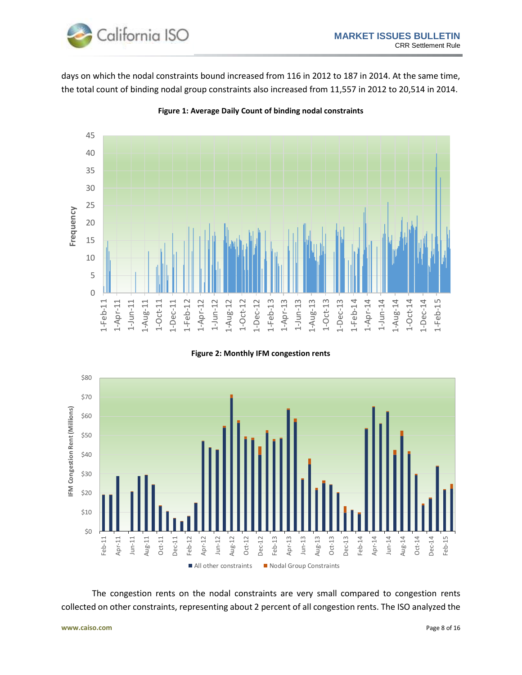

days on which the nodal constraints bound increased from 116 in 2012 to 187 in 2014. At the same time, the total count of binding nodal group constraints also increased from 11,557 in 2012 to 20,514 in 2014.



<span id="page-7-0"></span>**Figure 1: Average Daily Count of binding nodal constraints**





The congestion rents on the nodal constraints are very small compared to congestion rents collected on other constraints, representing about 2 percent of all congestion rents. The ISO analyzed the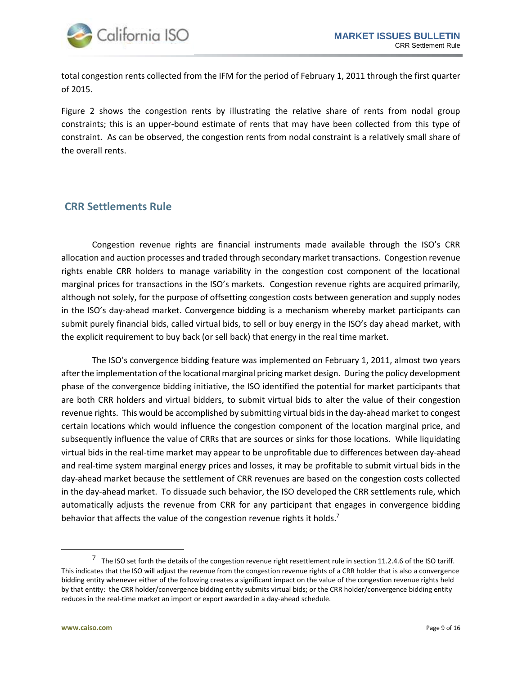

total congestion rents collected from the IFM for the period of February 1, 2011 through the first quarter of 2015.

Figure 2 shows the congestion rents by illustrating the relative share of rents from nodal group constraints; this is an upper-bound estimate of rents that may have been collected from this type of constraint. As can be observed, the congestion rents from nodal constraint is a relatively small share of the overall rents.

## <span id="page-8-0"></span>**CRR Settlements Rule**

Congestion revenue rights are financial instruments made available through the ISO's CRR allocation and auction processes and traded through secondary market transactions. Congestion revenue rights enable CRR holders to manage variability in the congestion cost component of the locational marginal prices for transactions in the ISO's markets. Congestion revenue rights are acquired primarily, although not solely, for the purpose of offsetting congestion costs between generation and supply nodes in the ISO's day-ahead market. Convergence bidding is a mechanism whereby market participants can submit purely financial bids, called virtual bids, to sell or buy energy in the ISO's day ahead market, with the explicit requirement to buy back (or sell back) that energy in the real time market.

The ISO's convergence bidding feature was implemented on February 1, 2011, almost two years after the implementation of the locational marginal pricing market design. During the policy development phase of the convergence bidding initiative, the ISO identified the potential for market participants that are both CRR holders and virtual bidders, to submit virtual bids to alter the value of their congestion revenue rights. This would be accomplished by submitting virtual bids in the day-ahead market to congest certain locations which would influence the congestion component of the location marginal price, and subsequently influence the value of CRRs that are sources or sinks for those locations. While liquidating virtual bids in the real-time market may appear to be unprofitable due to differences between day-ahead and real-time system marginal energy prices and losses, it may be profitable to submit virtual bids in the day-ahead market because the settlement of CRR revenues are based on the congestion costs collected in the day-ahead market. To dissuade such behavior, the ISO developed the CRR settlements rule, which automatically adjusts the revenue from CRR for any participant that engages in convergence bidding behavior that affects the value of the congestion revenue rights it holds.<sup>7</sup>

l

 $^7$  The ISO set forth the details of the congestion revenue right resettlement rule in section 11.2.4.6 of the ISO tariff. This indicates that the ISO will adjust the revenue from the congestion revenue rights of a CRR holder that is also a convergence bidding entity whenever either of the following creates a significant impact on the value of the congestion revenue rights held by that entity: the CRR holder/convergence bidding entity submits virtual bids; or the CRR holder/convergence bidding entity reduces in the real-time market an import or export awarded in a day-ahead schedule.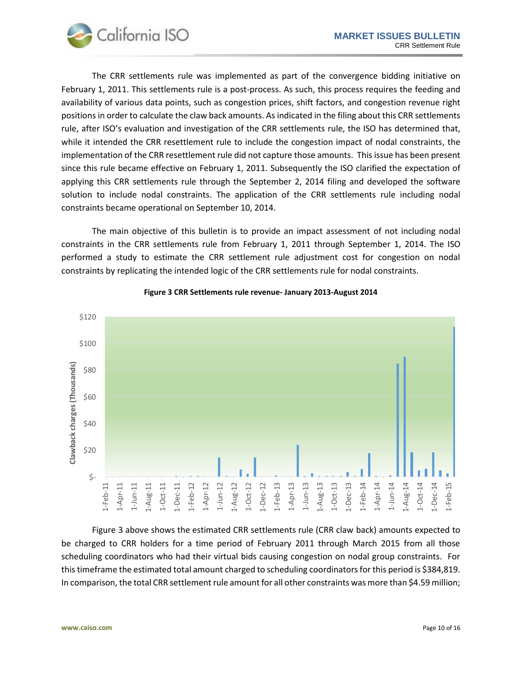

The CRR settlements rule was implemented as part of the convergence bidding initiative on February 1, 2011. This settlements rule is a post-process. As such, this process requires the feeding and availability of various data points, such as congestion prices, shift factors, and congestion revenue right positions in order to calculate the claw back amounts. As indicated in the filing about this CRR settlements rule, after ISO's evaluation and investigation of the CRR settlements rule, the ISO has determined that, while it intended the CRR resettlement rule to include the congestion impact of nodal constraints, the implementation of the CRR resettlement rule did not capture those amounts. This issue has been present since this rule became effective on February 1, 2011. Subsequently the ISO clarified the expectation of applying this CRR settlements rule through the September 2, 2014 filing and developed the software solution to include nodal constraints. The application of the CRR settlements rule including nodal constraints became operational on September 10, 2014.

The main objective of this bulletin is to provide an impact assessment of not including nodal constraints in the CRR settlements rule from February 1, 2011 through September 1, 2014. The ISO performed a study to estimate the CRR settlement rule adjustment cost for congestion on nodal constraints by replicating the intended logic of the CRR settlements rule for nodal constraints.

<span id="page-9-0"></span>

#### **Figure 3 CRR Settlements rule revenue- January 2013-August 2014**

[Figure](#page-9-0) 3 above shows the estimated CRR settlements rule (CRR claw back) amounts expected to be charged to CRR holders for a time period of February 2011 through March 2015 from all those scheduling coordinators who had their virtual bids causing congestion on nodal group constraints. For this timeframe the estimated total amount charged to scheduling coordinators for this period is \$384,819. In comparison, the total CRR settlement rule amount for all other constraints was more than \$4.59 million;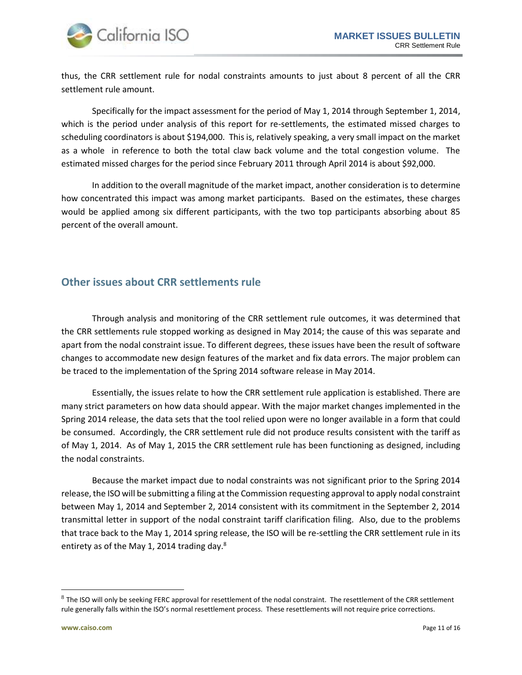

thus, the CRR settlement rule for nodal constraints amounts to just about 8 percent of all the CRR settlement rule amount.

Specifically for the impact assessment for the period of May 1, 2014 through September 1, 2014, which is the period under analysis of this report for re-settlements, the estimated missed charges to scheduling coordinators is about \$194,000. This is, relatively speaking, a very small impact on the market as a whole in reference to both the total claw back volume and the total congestion volume. The estimated missed charges for the period since February 2011 through April 2014 is about \$92,000.

In addition to the overall magnitude of the market impact, another consideration is to determine how concentrated this impact was among market participants. Based on the estimates, these charges would be applied among six different participants, with the two top participants absorbing about 85 percent of the overall amount.

#### <span id="page-10-0"></span>**Other issues about CRR settlements rule**

Through analysis and monitoring of the CRR settlement rule outcomes, it was determined that the CRR settlements rule stopped working as designed in May 2014; the cause of this was separate and apart from the nodal constraint issue. To different degrees, these issues have been the result of software changes to accommodate new design features of the market and fix data errors. The major problem can be traced to the implementation of the Spring 2014 software release in May 2014.

Essentially, the issues relate to how the CRR settlement rule application is established. There are many strict parameters on how data should appear. With the major market changes implemented in the Spring 2014 release, the data sets that the tool relied upon were no longer available in a form that could be consumed. Accordingly, the CRR settlement rule did not produce results consistent with the tariff as of May 1, 2014. As of May 1, 2015 the CRR settlement rule has been functioning as designed, including the nodal constraints.

Because the market impact due to nodal constraints was not significant prior to the Spring 2014 release, the ISO will be submitting a filing at the Commission requesting approval to apply nodal constraint between May 1, 2014 and September 2, 2014 consistent with its commitment in the September 2, 2014 transmittal letter in support of the nodal constraint tariff clarification filing. Also, due to the problems that trace back to the May 1, 2014 spring release, the ISO will be re-settling the CRR settlement rule in its entirety as of the May 1, 2014 trading day. $8$ 

 $\overline{\phantom{a}}$ 

 $^8$  The ISO will only be seeking FERC approval for resettlement of the nodal constraint. The resettlement of the CRR settlement rule generally falls within the ISO's normal resettlement process. These resettlements will not require price corrections.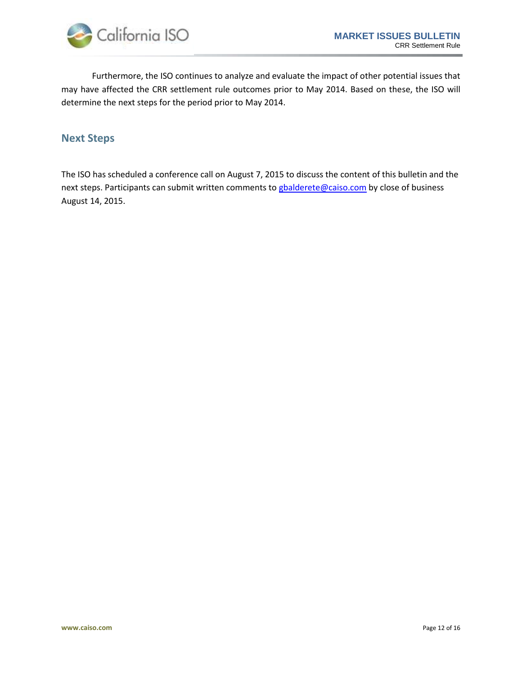

Furthermore, the ISO continues to analyze and evaluate the impact of other potential issues that may have affected the CRR settlement rule outcomes prior to May 2014. Based on these, the ISO will determine the next steps for the period prior to May 2014.

## <span id="page-11-0"></span>**Next Steps**

The ISO has scheduled a conference call on August 7, 2015 to discuss the content of this bulletin and the next steps. Participants can submit written comments to [gbalderete@caiso.com](mailto:gbalderete@caiso.com) by close of business August 14, 2015.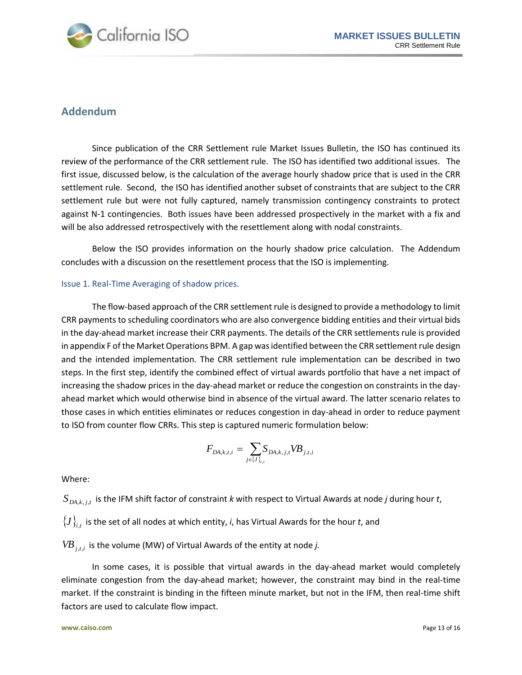

### <span id="page-12-0"></span>**Addendum**

Since publication of the CRR Settlement rule Market Issues Bulletin, the ISO has continued its review of the performance of the CRR settlement rule. The ISO has identified two additional issues. The first issue, discussed below, is the calculation of the average hourly shadow price that is used in the CRR settlement rule. Second, the ISO has identified another subset of constraints that are subject to the CRR settlement rule but were not fully captured, namely transmission contingency constraints to protect against N-1 contingencies. Both issues have been addressed prospectively in the market with a fix and will be also addressed retrospectively with the resettlement along with nodal constraints.

Below the ISO provides information on the hourly shadow price calculation. The Addendum concludes with a discussion on the resettlement process that the ISO is implementing.

#### Issue 1. Real-Time Averaging of shadow prices.

The flow-based approach of the CRR settlement rule is designed to provide a methodology to limit CRR payments to scheduling coordinators who are also convergence bidding entities and their virtual bids in the day-ahead market increase their CRR payments. The details of the CRR settlements rule is provided in appendix F of the Market Operations BPM. A gap was identified between the CRR settlement rule design and the intended implementation. The CRR settlement rule implementation can be described in two steps. In the first step, identify the combined effect of virtual awards portfolio that have a net impact of increasing the shadow prices in the day-ahead market or reduce the congestion on constraints in the dayahead market which would otherwise bind in absence of the virtual award. The latter scenario relates to those cases in which entities eliminates or reduces congestion in day-ahead in order to reduce payment to ISO from counter flow CRRs. This step is captured numeric formulation below:

$$
F_{DA,k,t,i} = \sum_{j \in \{J\}_{i,i}} S_{DA,k,j,t} V B_{j,t,i}
$$

Where:

 $S$ <sub>*DA,k,j,t*</sub> is the IFM shift factor of constraint *k* with respect to Virtual Awards at node *j* during hour *t*,

 $\{J\}_{i,t}$  is the set of all nodes at which entity, *i*, has Virtual Awards for the hour *t*, and

*VBj*,*t*,*<sup>i</sup>* is the volume (MW) of Virtual Awards of the entity at node *j.*

In some cases, it is possible that virtual awards in the day-ahead market would completely eliminate congestion from the day-ahead market; however, the constraint may bind in the real-time market. If the constraint is binding in the fifteen minute market, but not in the IFM, then real-time shift factors are used to calculate flow impact.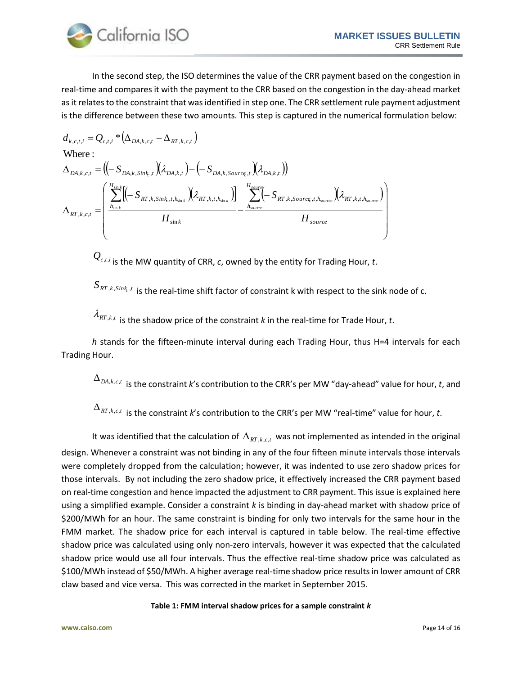$\vert$  $\overline{\phantom{a}}$  $\overline{\phantom{a}}$  $\overline{\phantom{a}}$  $\overline{\phantom{a}}$ 

 $\backslash$ 

J



In the second step, the ISO determines the value of the CRR payment based on the congestion in real-time and compares it with the payment to the CRR based on the congestion in the day-ahead market as it relates to the constraint that was identified in step one. The CRR settlement rule payment adjustment is the difference between these two amounts. This step is captured in the numerical formulation below:

$$
d_{k,c,t,i} = Q_{c,t,i} * (\Delta_{DA,k,c,t} - \Delta_{RT,k,c,t})
$$
  
Where:  

$$
\Delta_{DA,k,c,t} = ((-S_{DA,k,Sink_{ch}, t})(\lambda_{DA,k,t}) - (-S_{DA,k, Source_{t}, t})(\lambda_{DA,k,t}))
$$

$$
\Delta_{RT,k,c,t} = \begin{pmatrix} \sum_{h_{\sin k}}^{H_{\sin k}} [(-S_{RT,k,Sink_{ch}, h_{\sin k}})(\lambda_{RT,k,t,h_{\sin k}})] & \sum_{h_{source}}^{H_{source}} [-(S_{RT,k, Source_{t}, t,h_{source}})(\lambda_{RT,k,t,h_{source}})] & \sum_{h_{source}}^{H_{source}} \\ H_{\sin k} & H_{source} & H_{source} \end{pmatrix}
$$

*Qc*,*t*,*<sup>i</sup>* is the MW quantity of CRR, *c*, owned by the entity for Trading Hour, *t*.

 $S_{\scriptscriptstyle RT,k,Sink_s}$  is the real-time shift factor of constraint k with respect to the sink node of c.

 $\lambda_{\scriptscriptstyle{RT}, k, t}$  is the shadow price of the constraint *k* in the real-time for Trade Hour, *t*.

*h* stands for the fifteen-minute interval during each Trading Hour, thus H=4 intervals for each Trading Hour.

 $\Delta_{\mathit{DA},k,c,t}$  is the constraint *k*'s contribution to the CRR's per MW "day-ahead" value for hour, *t*, and

 $\Delta_{\textit{RT}, \textit{k}, \textit{c}, \textit{t}}$  is the constraint *k*'s contribution to the CRR's per MW "real-time" value for hour, *t*.

It was identified that the calculation of  $\Delta_{RT, k, c, t}$  was not implemented as intended in the original design. Whenever a constraint was not binding in any of the four fifteen minute intervals those intervals were completely dropped from the calculation; however, it was indented to use zero shadow prices for those intervals. By not including the zero shadow price, it effectively increased the CRR payment based on real-time congestion and hence impacted the adjustment to CRR payment. This issue is explained here using a simplified example. Consider a constraint *k* is binding in day-ahead market with shadow price of \$200/MWh for an hour. The same constraint is binding for only two intervals for the same hour in the FMM market. The shadow price for each interval is captured in table below. The real-time effective shadow price was calculated using only non-zero intervals, however it was expected that the calculated shadow price would use all four intervals. Thus the effective real-time shadow price was calculated as \$100/MWh instead of \$50/MWh. A higher average real-time shadow price results in lower amount of CRR claw based and vice versa. This was corrected in the market in September 2015.

#### **Table 1: FMM interval shadow prices for a sample constraint** *k*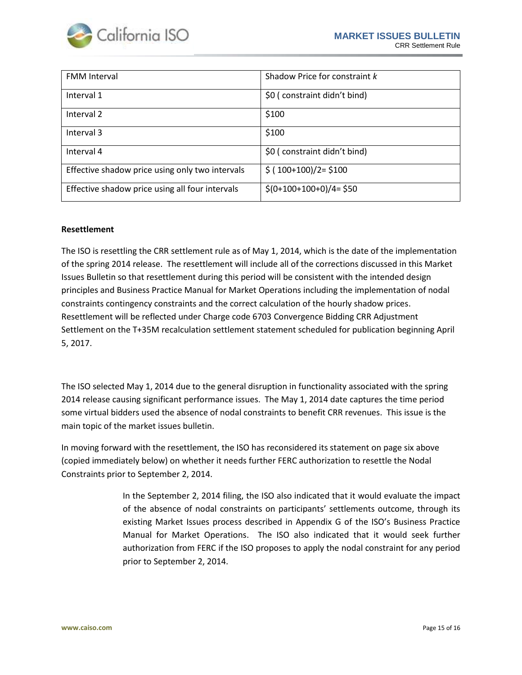

| <b>FMM</b> Interval                             | Shadow Price for constraint k |  |
|-------------------------------------------------|-------------------------------|--|
| Interval 1                                      | \$0 (constraint didn't bind)  |  |
| Interval 2                                      | \$100                         |  |
| Interval 3                                      | \$100                         |  |
| Interval 4                                      | \$0 (constraint didn't bind)  |  |
| Effective shadow price using only two intervals | $$ (100+100)/2 = $100$        |  |
| Effective shadow price using all four intervals | $$(0+100+100+0)/4= $50$       |  |

#### **Resettlement**

The ISO is resettling the CRR settlement rule as of May 1, 2014, which is the date of the implementation of the spring 2014 release. The resettlement will include all of the corrections discussed in this Market Issues Bulletin so that resettlement during this period will be consistent with the intended design principles and Business Practice Manual for Market Operations including the implementation of nodal constraints contingency constraints and the correct calculation of the hourly shadow prices. Resettlement will be reflected under Charge code 6703 Convergence Bidding CRR Adjustment Settlement on the T+35M recalculation settlement statement scheduled for publication beginning April 5, 2017.

The ISO selected May 1, 2014 due to the general disruption in functionality associated with the spring 2014 release causing significant performance issues. The May 1, 2014 date captures the time period some virtual bidders used the absence of nodal constraints to benefit CRR revenues. This issue is the main topic of the market issues bulletin.

In moving forward with the resettlement, the ISO has reconsidered its statement on page six above (copied immediately below) on whether it needs further FERC authorization to resettle the Nodal Constraints prior to September 2, 2014.

> In the September 2, 2014 filing, the ISO also indicated that it would evaluate the impact of the absence of nodal constraints on participants' settlements outcome, through its existing Market Issues process described in Appendix G of the ISO's Business Practice Manual for Market Operations. The ISO also indicated that it would seek further authorization from FERC if the ISO proposes to apply the nodal constraint for any period prior to September 2, 2014.